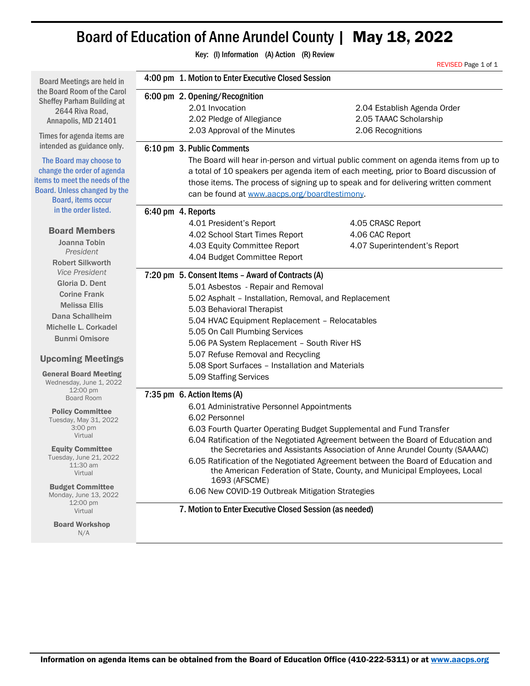# Board of Education of Anne Arundel County | May 18, 2022

|                                                                                                                                                                                           | Key: (I) Information (A) Action (R) Review                                                                                                                                                                                                                                                                         |                                                                            |
|-------------------------------------------------------------------------------------------------------------------------------------------------------------------------------------------|--------------------------------------------------------------------------------------------------------------------------------------------------------------------------------------------------------------------------------------------------------------------------------------------------------------------|----------------------------------------------------------------------------|
|                                                                                                                                                                                           |                                                                                                                                                                                                                                                                                                                    | REVISED Page 1 of 1                                                        |
| <b>Board Meetings are held in</b>                                                                                                                                                         | 4:00 pm 1. Motion to Enter Executive Closed Session                                                                                                                                                                                                                                                                |                                                                            |
| the Board Room of the Carol<br><b>Sheffey Parham Building at</b><br>2644 Riva Road,<br>Annapolis, MD 21401                                                                                | 6:00 pm 2. Opening/Recognition<br>2.01 Invocation<br>2.02 Pledge of Allegiance<br>2.03 Approval of the Minutes                                                                                                                                                                                                     | 2.04 Establish Agenda Order<br>2.05 TAAAC Scholarship<br>2.06 Recognitions |
| Times for agenda items are<br>intended as guidance only.                                                                                                                                  | 6:10 pm 3. Public Comments                                                                                                                                                                                                                                                                                         |                                                                            |
| The Board may choose to<br>change the order of agenda<br>items to meet the needs of the<br><b>Board. Unless changed by the</b><br><b>Board, items occur</b>                               | The Board will hear in-person and virtual public comment on agenda items from up to<br>a total of 10 speakers per agenda item of each meeting, prior to Board discussion of<br>those items. The process of signing up to speak and for delivering written comment<br>can be found at www.aacps.org/boardtestimony. |                                                                            |
| in the order listed.                                                                                                                                                                      | 6:40 pm 4. Reports                                                                                                                                                                                                                                                                                                 |                                                                            |
| <b>Board Members</b><br>Joanna Tobin<br>President<br><b>Robert Silkworth</b>                                                                                                              | 4.01 President's Report<br>4.02 School Start Times Report<br>4.03 Equity Committee Report<br>4.04 Budget Committee Report                                                                                                                                                                                          | 4.05 CRASC Report<br>4.06 CAC Report<br>4.07 Superintendent's Report       |
| <b>Vice President</b>                                                                                                                                                                     | 7:20 pm 5. Consent Items - Award of Contracts (A)                                                                                                                                                                                                                                                                  |                                                                            |
| Gloria D. Dent<br>5.01 Asbestos - Repair and Removal<br><b>Corine Frank</b><br>5.02 Asphalt - Installation, Removal, and Replacement<br><b>Melissa Ellis</b><br>5.03 Behavioral Therapist |                                                                                                                                                                                                                                                                                                                    |                                                                            |
| <b>Dana Schallheim</b><br>Michelle L. Corkadel<br><b>Bunmi Omisore</b>                                                                                                                    | 5.04 HVAC Equipment Replacement - Relocatables<br>5.05 On Call Plumbing Services                                                                                                                                                                                                                                   |                                                                            |
| <b>Upcoming Meetings</b>                                                                                                                                                                  | 5.06 PA System Replacement - South River HS<br>5.07 Refuse Removal and Recycling                                                                                                                                                                                                                                   |                                                                            |
| <b>General Board Meeting</b>                                                                                                                                                              | 5.08 Sport Surfaces - Installation and Materials<br>5.09 Staffing Services                                                                                                                                                                                                                                         |                                                                            |
| Wednesday, June 1, 2022<br>12:00 pm                                                                                                                                                       | 7:35 pm 6. Action Items (A)                                                                                                                                                                                                                                                                                        |                                                                            |
| Board Room<br><b>Policy Committee</b><br>Tuesday, May 31, 2022<br>3:00 pm<br>Virtual                                                                                                      | 6.01 Administrative Personnel Appointments<br>6.02 Personnel<br>6.03 Fourth Quarter Operating Budget Supplemental and Fund Transfer<br>6.04 Ratification of the Negotiated Agreement between the Board of Education and                                                                                            |                                                                            |
| <b>Equity Committee</b><br>Tuesday, June 21, 2022<br>11:30 am<br>Virtual                                                                                                                  | the Secretaries and Assistants Association of Anne Arundel County (SAAAAC)<br>6.05 Ratification of the Negotiated Agreement between the Board of Education and<br>the American Federation of State, County, and Municipal Employees, Local<br>1693 (AFSCME)                                                        |                                                                            |
| <b>Budget Committee</b><br>Monday, June 13, 2022                                                                                                                                          | 6.06 New COVID-19 Outbreak Mitigation Strategies                                                                                                                                                                                                                                                                   |                                                                            |
| 12:00 pm<br>Virtual                                                                                                                                                                       | 7. Motion to Enter Executive Closed Session (as needed)                                                                                                                                                                                                                                                            |                                                                            |
| <b>Board Workshop</b><br>N/A                                                                                                                                                              |                                                                                                                                                                                                                                                                                                                    |                                                                            |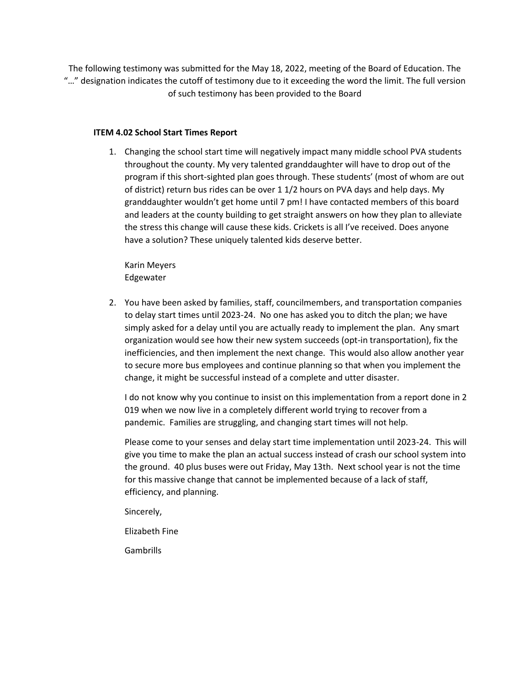The following testimony was submitted for the May 18, 2022, meeting of the Board of Education. The "…" designation indicates the cutoff of testimony due to it exceeding the word the limit. The full version of such testimony has been provided to the Board

# **ITEM 4.02 School Start Times Report**

1. Changing the school start time will negatively impact many middle school PVA students throughout the county. My very talented granddaughter will have to drop out of the program if this short-sighted plan goes through. These students' (most of whom are out of district) return bus rides can be over 1 1/2 hours on PVA days and help days. My granddaughter wouldn't get home until 7 pm! I have contacted members of this board and leaders at the county building to get straight answers on how they plan to alleviate the stress this change will cause these kids. Crickets is all I've received. Does anyone have a solution? These uniquely talented kids deserve better.

Karin Meyers Edgewater

2. You have been asked by families, staff, councilmembers, and transportation companies to delay start times until 2023-24. No one has asked you to ditch the plan; we have simply asked for a delay until you are actually ready to implement the plan. Any smart organization would see how their new system succeeds (opt-in transportation), fix the inefficiencies, and then implement the next change. This would also allow another year to secure more bus employees and continue planning so that when you implement the change, it might be successful instead of a complete and utter disaster.

I do not know why you continue to insist on this implementation from a report done in 2 019 when we now live in a completely different world trying to recover from a pandemic. Families are struggling, and changing start times will not help.

Please come to your senses and delay start time implementation until 2023-24. This will give you time to make the plan an actual success instead of crash our school system into the ground. 40 plus buses were out Friday, May 13th. Next school year is not the time for this massive change that cannot be implemented because of a lack of staff, efficiency, and planning.

Sincerely,

Elizabeth Fine

**Gambrills**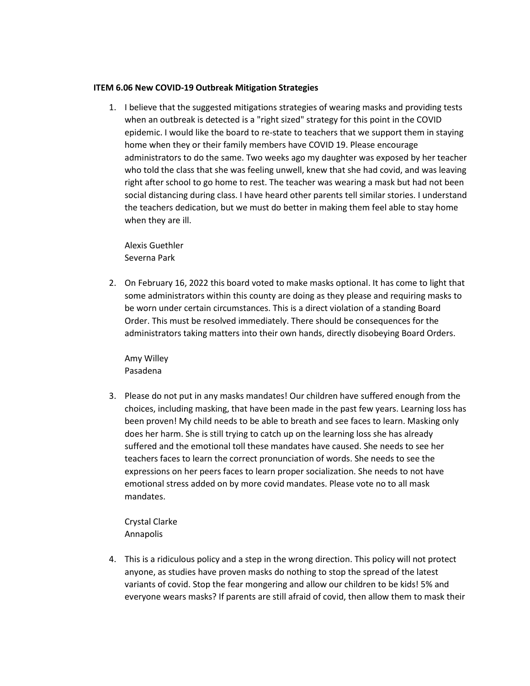### **ITEM 6.06 New COVID-19 Outbreak Mitigation Strategies**

1. I believe that the suggested mitigations strategies of wearing masks and providing tests when an outbreak is detected is a "right sized" strategy for this point in the COVID epidemic. I would like the board to re-state to teachers that we support them in staying home when they or their family members have COVID 19. Please encourage administrators to do the same. Two weeks ago my daughter was exposed by her teacher who told the class that she was feeling unwell, knew that she had covid, and was leaving right after school to go home to rest. The teacher was wearing a mask but had not been social distancing during class. I have heard other parents tell similar stories. I understand the teachers dedication, but we must do better in making them feel able to stay home when they are ill.

Alexis Guethler Severna Park

2. On February 16, 2022 this board voted to make masks optional. It has come to light that some administrators within this county are doing as they please and requiring masks to be worn under certain circumstances. This is a direct violation of a standing Board Order. This must be resolved immediately. There should be consequences for the administrators taking matters into their own hands, directly disobeying Board Orders.

Amy Willey Pasadena

3. Please do not put in any masks mandates! Our children have suffered enough from the choices, including masking, that have been made in the past few years. Learning loss has been proven! My child needs to be able to breath and see faces to learn. Masking only does her harm. She is still trying to catch up on the learning loss she has already suffered and the emotional toll these mandates have caused. She needs to see her teachers faces to learn the correct pronunciation of words. She needs to see the expressions on her peers faces to learn proper socialization. She needs to not have emotional stress added on by more covid mandates. Please vote no to all mask mandates.

Crystal Clarke Annapolis

4. This is a ridiculous policy and a step in the wrong direction. This policy will not protect anyone, as studies have proven masks do nothing to stop the spread of the latest variants of covid. Stop the fear mongering and allow our children to be kids! 5% and everyone wears masks? If parents are still afraid of covid, then allow them to mask their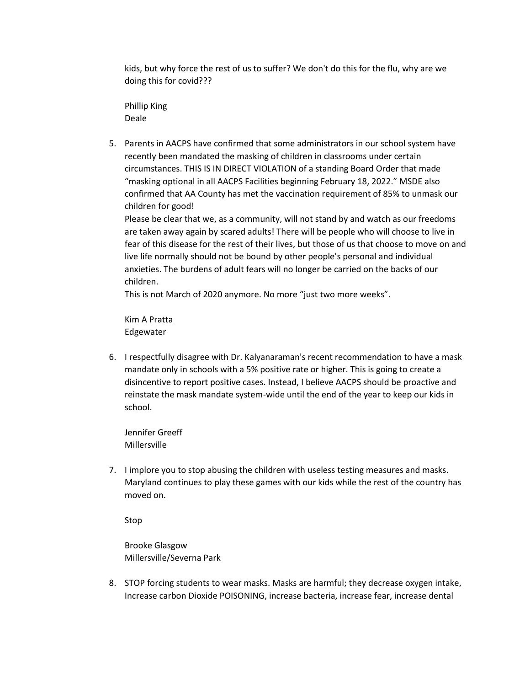kids, but why force the rest of us to suffer? We don't do this for the flu, why are we doing this for covid???

Phillip King Deale

5. Parents in AACPS have confirmed that some administrators in our school system have recently been mandated the masking of children in classrooms under certain circumstances. THIS IS IN DIRECT VIOLATION of a standing Board Order that made "masking optional in all AACPS Facilities beginning February 18, 2022." MSDE also confirmed that AA County has met the vaccination requirement of 85% to unmask our children for good!

Please be clear that we, as a community, will not stand by and watch as our freedoms are taken away again by scared adults! There will be people who will choose to live in fear of this disease for the rest of their lives, but those of us that choose to move on and live life normally should not be bound by other people's personal and individual anxieties. The burdens of adult fears will no longer be carried on the backs of our children.

This is not March of 2020 anymore. No more "just two more weeks".

Kim A Pratta Edgewater

6. I respectfully disagree with Dr. Kalyanaraman's recent recommendation to have a mask mandate only in schools with a 5% positive rate or higher. This is going to create a disincentive to report positive cases. Instead, I believe AACPS should be proactive and reinstate the mask mandate system-wide until the end of the year to keep our kids in school.

Jennifer Greeff Millersville

7. I implore you to stop abusing the children with useless testing measures and masks. Maryland continues to play these games with our kids while the rest of the country has moved on.

Stop

Brooke Glasgow Millersville/Severna Park

8. STOP forcing students to wear masks. Masks are harmful; they decrease oxygen intake, Increase carbon Dioxide POISONING, increase bacteria, increase fear, increase dental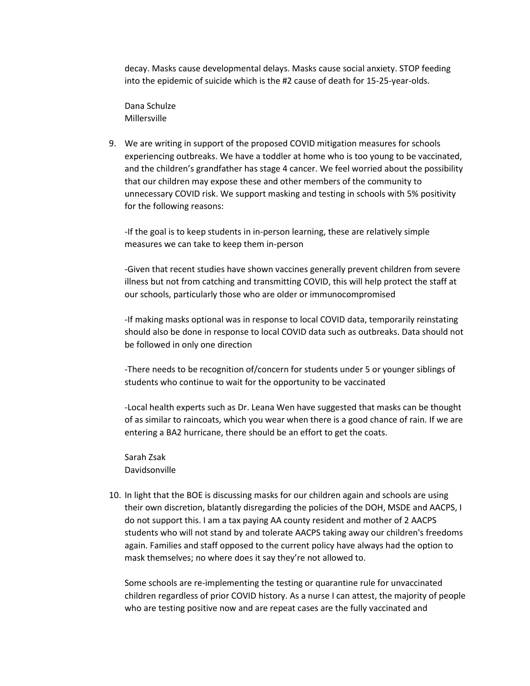decay. Masks cause developmental delays. Masks cause social anxiety. STOP feeding into the epidemic of suicide which is the #2 cause of death for 15-25-year-olds.

Dana Schulze Millersville

9. We are writing in support of the proposed COVID mitigation measures for schools experiencing outbreaks. We have a toddler at home who is too young to be vaccinated, and the children's grandfather has stage 4 cancer. We feel worried about the possibility that our children may expose these and other members of the community to unnecessary COVID risk. We support masking and testing in schools with 5% positivity for the following reasons:

-If the goal is to keep students in in-person learning, these are relatively simple measures we can take to keep them in-person

-Given that recent studies have shown vaccines generally prevent children from severe illness but not from catching and transmitting COVID, this will help protect the staff at our schools, particularly those who are older or immunocompromised

-If making masks optional was in response to local COVID data, temporarily reinstating should also be done in response to local COVID data such as outbreaks. Data should not be followed in only one direction

-There needs to be recognition of/concern for students under 5 or younger siblings of students who continue to wait for the opportunity to be vaccinated

-Local health experts such as Dr. Leana Wen have suggested that masks can be thought of as similar to raincoats, which you wear when there is a good chance of rain. If we are entering a BA2 hurricane, there should be an effort to get the coats.

Sarah Zsak Davidsonville

10. In light that the BOE is discussing masks for our children again and schools are using their own discretion, blatantly disregarding the policies of the DOH, MSDE and AACPS, I do not support this. I am a tax paying AA county resident and mother of 2 AACPS students who will not stand by and tolerate AACPS taking away our children's freedoms again. Families and staff opposed to the current policy have always had the option to mask themselves; no where does it say they're not allowed to.

Some schools are re-implementing the testing or quarantine rule for unvaccinated children regardless of prior COVID history. As a nurse I can attest, the majority of people who are testing positive now and are repeat cases are the fully vaccinated and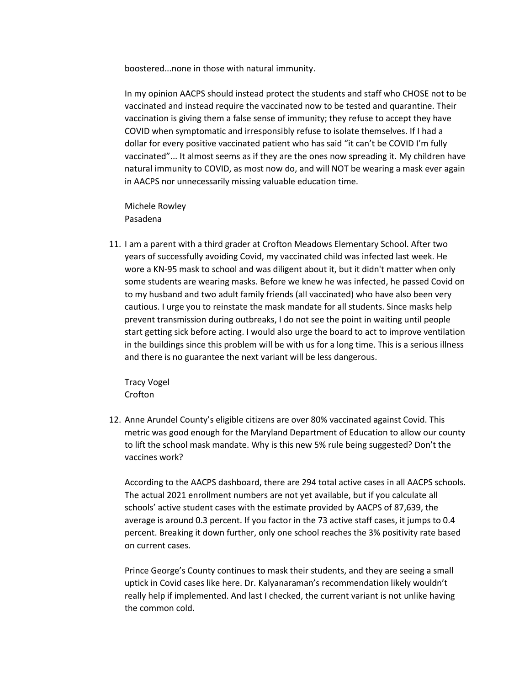boostered...none in those with natural immunity.

In my opinion AACPS should instead protect the students and staff who CHOSE not to be vaccinated and instead require the vaccinated now to be tested and quarantine. Their vaccination is giving them a false sense of immunity; they refuse to accept they have COVID when symptomatic and irresponsibly refuse to isolate themselves. If I had a dollar for every positive vaccinated patient who has said "it can't be COVID I'm fully vaccinated"... It almost seems as if they are the ones now spreading it. My children have natural immunity to COVID, as most now do, and will NOT be wearing a mask ever again in AACPS nor unnecessarily missing valuable education time.

Michele Rowley Pasadena

11. I am a parent with a third grader at Crofton Meadows Elementary School. After two years of successfully avoiding Covid, my vaccinated child was infected last week. He wore a KN-95 mask to school and was diligent about it, but it didn't matter when only some students are wearing masks. Before we knew he was infected, he passed Covid on to my husband and two adult family friends (all vaccinated) who have also been very cautious. I urge you to reinstate the mask mandate for all students. Since masks help prevent transmission during outbreaks, I do not see the point in waiting until people start getting sick before acting. I would also urge the board to act to improve ventilation in the buildings since this problem will be with us for a long time. This is a serious illness and there is no guarantee the next variant will be less dangerous.

Tracy Vogel Crofton

12. Anne Arundel County's eligible citizens are over 80% vaccinated against Covid. This metric was good enough for the Maryland Department of Education to allow our county to lift the school mask mandate. Why is this new 5% rule being suggested? Don't the vaccines work?

According to the AACPS dashboard, there are 294 total active cases in all AACPS schools. The actual 2021 enrollment numbers are not yet available, but if you calculate all schools' active student cases with the estimate provided by AACPS of 87,639, the average is around 0.3 percent. If you factor in the 73 active staff cases, it jumps to 0.4 percent. Breaking it down further, only one school reaches the 3% positivity rate based on current cases.

Prince George's County continues to mask their students, and they are seeing a small uptick in Covid cases like here. Dr. Kalyanaraman's recommendation likely wouldn't really help if implemented. And last I checked, the current variant is not unlike having the common cold.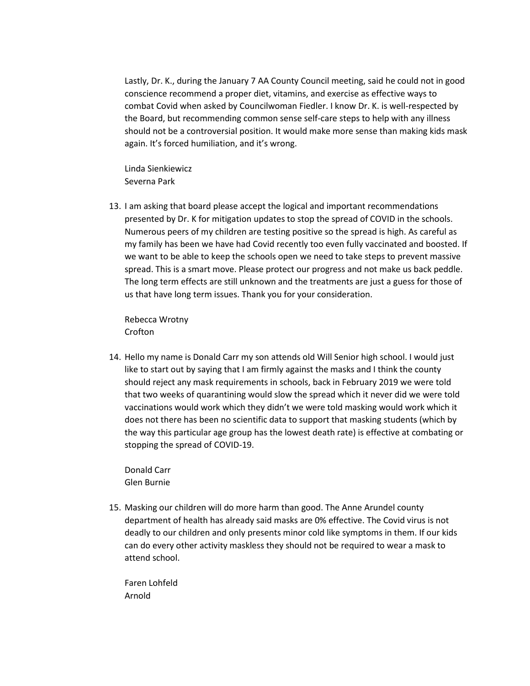Lastly, Dr. K., during the January 7 AA County Council meeting, said he could not in good conscience recommend a proper diet, vitamins, and exercise as effective ways to combat Covid when asked by Councilwoman Fiedler. I know Dr. K. is well-respected by the Board, but recommending common sense self-care steps to help with any illness should not be a controversial position. It would make more sense than making kids mask again. It's forced humiliation, and it's wrong.

Linda Sienkiewicz Severna Park

13. I am asking that board please accept the logical and important recommendations presented by Dr. K for mitigation updates to stop the spread of COVID in the schools. Numerous peers of my children are testing positive so the spread is high. As careful as my family has been we have had Covid recently too even fully vaccinated and boosted. If we want to be able to keep the schools open we need to take steps to prevent massive spread. This is a smart move. Please protect our progress and not make us back peddle. The long term effects are still unknown and the treatments are just a guess for those of us that have long term issues. Thank you for your consideration.

Rebecca Wrotny Crofton

14. Hello my name is Donald Carr my son attends old Will Senior high school. I would just like to start out by saying that I am firmly against the masks and I think the county should reject any mask requirements in schools, back in February 2019 we were told that two weeks of quarantining would slow the spread which it never did we were told vaccinations would work which they didn't we were told masking would work which it does not there has been no scientific data to support that masking students (which by the way this particular age group has the lowest death rate) is effective at combating or stopping the spread of COVID-19.

Donald Carr Glen Burnie

15. Masking our children will do more harm than good. The Anne Arundel county department of health has already said masks are 0% effective. The Covid virus is not deadly to our children and only presents minor cold like symptoms in them. If our kids can do every other activity maskless they should not be required to wear a mask to attend school.

Faren Lohfeld Arnold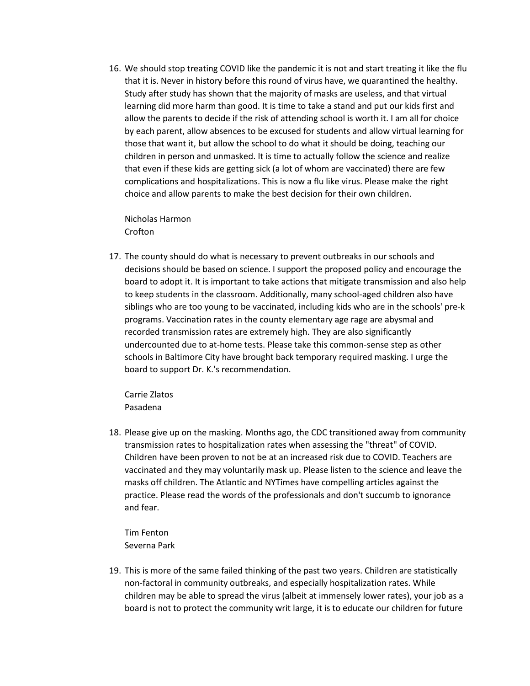16. We should stop treating COVID like the pandemic it is not and start treating it like the flu that it is. Never in history before this round of virus have, we quarantined the healthy. Study after study has shown that the majority of masks are useless, and that virtual learning did more harm than good. It is time to take a stand and put our kids first and allow the parents to decide if the risk of attending school is worth it. I am all for choice by each parent, allow absences to be excused for students and allow virtual learning for those that want it, but allow the school to do what it should be doing, teaching our children in person and unmasked. It is time to actually follow the science and realize that even if these kids are getting sick (a lot of whom are vaccinated) there are few complications and hospitalizations. This is now a flu like virus. Please make the right choice and allow parents to make the best decision for their own children.

Nicholas Harmon Crofton

17. The county should do what is necessary to prevent outbreaks in our schools and decisions should be based on science. I support the proposed policy and encourage the board to adopt it. It is important to take actions that mitigate transmission and also help to keep students in the classroom. Additionally, many school-aged children also have siblings who are too young to be vaccinated, including kids who are in the schools' pre-k programs. Vaccination rates in the county elementary age rage are abysmal and recorded transmission rates are extremely high. They are also significantly undercounted due to at-home tests. Please take this common-sense step as other schools in Baltimore City have brought back temporary required masking. I urge the board to support Dr. K.'s recommendation.

Carrie Zlatos Pasadena

18. Please give up on the masking. Months ago, the CDC transitioned away from community transmission rates to hospitalization rates when assessing the "threat" of COVID. Children have been proven to not be at an increased risk due to COVID. Teachers are vaccinated and they may voluntarily mask up. Please listen to the science and leave the masks off children. The Atlantic and NYTimes have compelling articles against the practice. Please read the words of the professionals and don't succumb to ignorance and fear.

Tim Fenton Severna Park

19. This is more of the same failed thinking of the past two years. Children are statistically non-factoral in community outbreaks, and especially hospitalization rates. While children may be able to spread the virus (albeit at immensely lower rates), your job as a board is not to protect the community writ large, it is to educate our children for future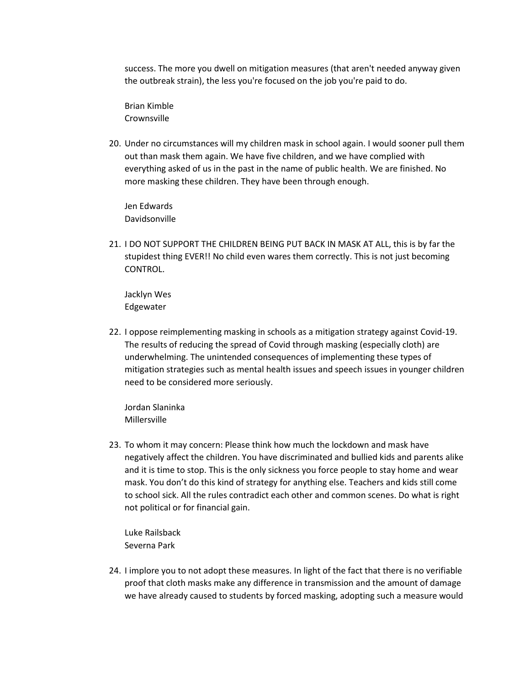success. The more you dwell on mitigation measures (that aren't needed anyway given the outbreak strain), the less you're focused on the job you're paid to do.

Brian Kimble Crownsville

20. Under no circumstances will my children mask in school again. I would sooner pull them out than mask them again. We have five children, and we have complied with everything asked of us in the past in the name of public health. We are finished. No more masking these children. They have been through enough.

Jen Edwards Davidsonville

21. I DO NOT SUPPORT THE CHILDREN BEING PUT BACK IN MASK AT ALL, this is by far the stupidest thing EVER!! No child even wares them correctly. This is not just becoming CONTROL.

Jacklyn Wes Edgewater

22. I oppose reimplementing masking in schools as a mitigation strategy against Covid-19. The results of reducing the spread of Covid through masking (especially cloth) are underwhelming. The unintended consequences of implementing these types of mitigation strategies such as mental health issues and speech issues in younger children need to be considered more seriously.

Jordan Slaninka Millersville

23. To whom it may concern: Please think how much the lockdown and mask have negatively affect the children. You have discriminated and bullied kids and parents alike and it is time to stop. This is the only sickness you force people to stay home and wear mask. You don't do this kind of strategy for anything else. Teachers and kids still come to school sick. All the rules contradict each other and common scenes. Do what is right not political or for financial gain.

Luke Railsback Severna Park

24. I implore you to not adopt these measures. In light of the fact that there is no verifiable proof that cloth masks make any difference in transmission and the amount of damage we have already caused to students by forced masking, adopting such a measure would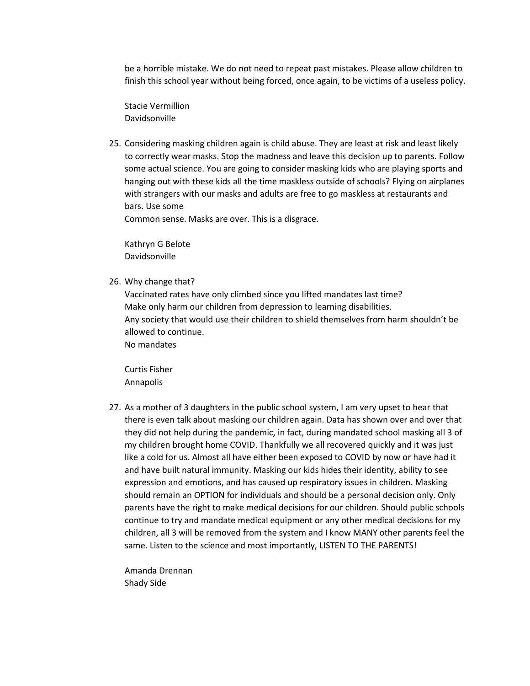be a horrible mistake. We do not need to repeat past mistakes. Please allow children to finish this school year without being forced, once again, to be victims of a useless policy.

Stacie Vermillion Davidsonville

25. Considering masking children again is child abuse. They are least at risk and least likely to correctly wear masks. Stop the madness and leave this decision up to parents. Follow some actual science. You are going to consider masking kids who are playing sports and hanging out with these kids all the time maskless outside of schools? Flying on airplanes with strangers with our masks and adults are free to go maskless at restaurants and bars. Use some

Common sense. Masks are over. This is a disgrace.

Kathryn G Belote Davidsonville

26. Why change that?

Vaccinated rates have only climbed since you lifted mandates last time? Make only harm our children from depression to learning disabilities. Any society that would use their children to shield themselves from harm shouldn't be allowed to continue. No mandates

Curtis Fisher Annapolis

27. As a mother of 3 daughters in the public school system, I am very upset to hear that there is even talk about masking our children again. Data has shown over and over that they did not help during the pandemic, in fact, during mandated school masking all 3 of my children brought home COVID. Thankfully we all recovered quickly and it was just like a cold for us. Almost all have either been exposed to COVID by now or have had it and have built natural immunity. Masking our kids hides their identity, ability to see expression and emotions, and has caused up respiratory issues in children. Masking should remain an OPTION for individuals and should be a personal decision only. Only parents have the right to make medical decisions for our children. Should public schools continue to try and mandate medical equipment or any other medical decisions for my children, all 3 will be removed from the system and I know MANY other parents feel the same. Listen to the science and most importantly, LISTEN TO THE PARENTS!

Amanda Drennan Shady Side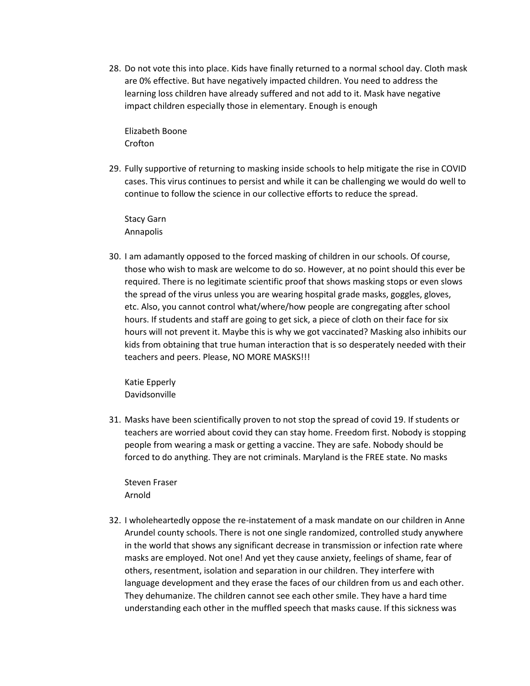28. Do not vote this into place. Kids have finally returned to a normal school day. Cloth mask are 0% effective. But have negatively impacted children. You need to address the learning loss children have already suffered and not add to it. Mask have negative impact children especially those in elementary. Enough is enough

Elizabeth Boone Crofton

29. Fully supportive of returning to masking inside schools to help mitigate the rise in COVID cases. This virus continues to persist and while it can be challenging we would do well to continue to follow the science in our collective efforts to reduce the spread.

Stacy Garn Annapolis

30. I am adamantly opposed to the forced masking of children in our schools. Of course, those who wish to mask are welcome to do so. However, at no point should this ever be required. There is no legitimate scientific proof that shows masking stops or even slows the spread of the virus unless you are wearing hospital grade masks, goggles, gloves, etc. Also, you cannot control what/where/how people are congregating after school hours. If students and staff are going to get sick, a piece of cloth on their face for six hours will not prevent it. Maybe this is why we got vaccinated? Masking also inhibits our kids from obtaining that true human interaction that is so desperately needed with their teachers and peers. Please, NO MORE MASKS!!!

Katie Epperly Davidsonville

31. Masks have been scientifically proven to not stop the spread of covid 19. If students or teachers are worried about covid they can stay home. Freedom first. Nobody is stopping people from wearing a mask or getting a vaccine. They are safe. Nobody should be forced to do anything. They are not criminals. Maryland is the FREE state. No masks

Steven Fraser Arnold

32. I wholeheartedly oppose the re-instatement of a mask mandate on our children in Anne Arundel county schools. There is not one single randomized, controlled study anywhere in the world that shows any significant decrease in transmission or infection rate where masks are employed. Not one! And yet they cause anxiety, feelings of shame, fear of others, resentment, isolation and separation in our children. They interfere with language development and they erase the faces of our children from us and each other. They dehumanize. The children cannot see each other smile. They have a hard time understanding each other in the muffled speech that masks cause. If this sickness was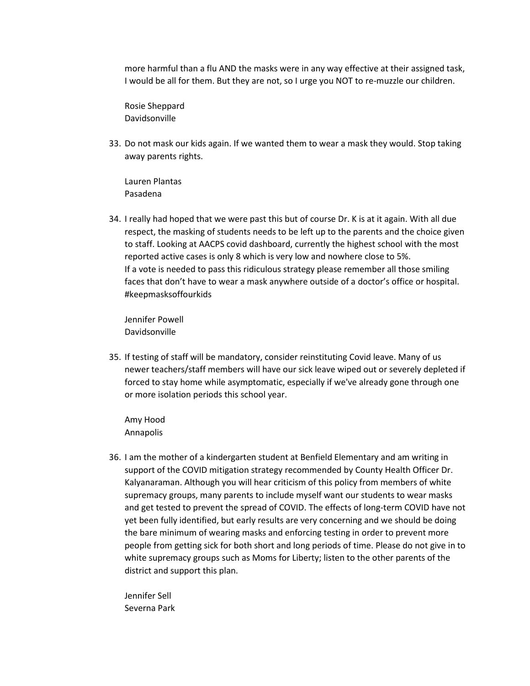more harmful than a flu AND the masks were in any way effective at their assigned task, I would be all for them. But they are not, so I urge you NOT to re-muzzle our children.

Rosie Sheppard Davidsonville

33. Do not mask our kids again. If we wanted them to wear a mask they would. Stop taking away parents rights.

Lauren Plantas Pasadena

34. I really had hoped that we were past this but of course Dr. K is at it again. With all due respect, the masking of students needs to be left up to the parents and the choice given to staff. Looking at AACPS covid dashboard, currently the highest school with the most reported active cases is only 8 which is very low and nowhere close to 5%. If a vote is needed to pass this ridiculous strategy please remember all those smiling faces that don't have to wear a mask anywhere outside of a doctor's office or hospital. #keepmasksoffourkids

Jennifer Powell Davidsonville

35. If testing of staff will be mandatory, consider reinstituting Covid leave. Many of us newer teachers/staff members will have our sick leave wiped out or severely depleted if forced to stay home while asymptomatic, especially if we've already gone through one or more isolation periods this school year.

Amy Hood Annapolis

36. I am the mother of a kindergarten student at Benfield Elementary and am writing in support of the COVID mitigation strategy recommended by County Health Officer Dr. Kalyanaraman. Although you will hear criticism of this policy from members of white supremacy groups, many parents to include myself want our students to wear masks and get tested to prevent the spread of COVID. The effects of long-term COVID have not yet been fully identified, but early results are very concerning and we should be doing the bare minimum of wearing masks and enforcing testing in order to prevent more people from getting sick for both short and long periods of time. Please do not give in to white supremacy groups such as Moms for Liberty; listen to the other parents of the district and support this plan.

Jennifer Sell Severna Park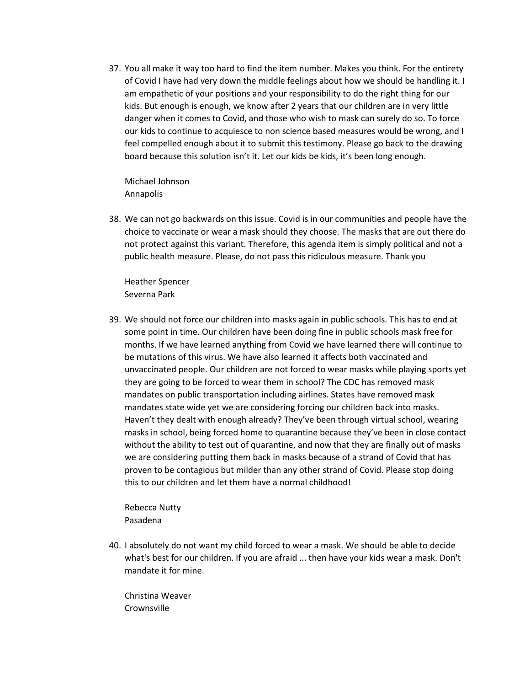37. You all make it way too hard to find the item number. Makes you think. For the entirety of Covid I have had very down the middle feelings about how we should be handling it. I am empathetic of your positions and your responsibility to do the right thing for our kids. But enough is enough, we know after 2 years that our children are in very little danger when it comes to Covid, and those who wish to mask can surely do so. To force our kids to continue to acquiesce to non science based measures would be wrong, and I feel compelled enough about it to submit this testimony. Please go back to the drawing board because this solution isn't it. Let our kids be kids, it's been long enough.

Michael Johnson Annapolis

38. We can not go backwards on this issue. Covid is in our communities and people have the choice to vaccinate or wear a mask should they choose. The masks that are out there do not protect against this variant. Therefore, this agenda item is simply political and not a public health measure. Please, do not pass this ridiculous measure. Thank you

Heather Spencer Severna Park

39. We should not force our children into masks again in public schools. This has to end at some point in time. Our children have been doing fine in public schools mask free for months. If we have learned anything from Covid we have learned there will continue to be mutations of this virus. We have also learned it affects both vaccinated and unvaccinated people. Our children are not forced to wear masks while playing sports yet they are going to be forced to wear them in school? The CDC has removed mask mandates on public transportation including airlines. States have removed mask mandates state wide yet we are considering forcing our children back into masks. Haven't they dealt with enough already? They've been through virtual school, wearing masks in school, being forced home to quarantine because they've been in close contact without the ability to test out of quarantine, and now that they are finally out of masks we are considering putting them back in masks because of a strand of Covid that has proven to be contagious but milder than any other strand of Covid. Please stop doing this to our children and let them have a normal childhood!

Rebecca Nutty Pasadena

40. I absolutely do not want my child forced to wear a mask. We should be able to decide what's best for our children. If you are afraid ... then have your kids wear a mask. Don't mandate it for mine.

Christina Weaver **Crownsville**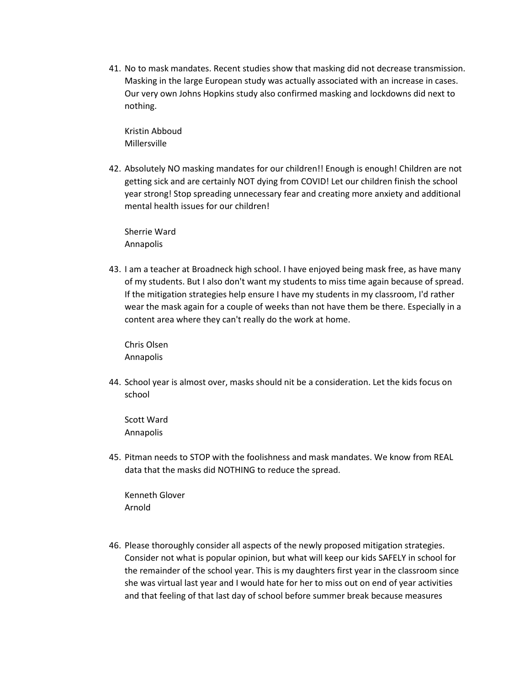41. No to mask mandates. Recent studies show that masking did not decrease transmission. Masking in the large European study was actually associated with an increase in cases. Our very own Johns Hopkins study also confirmed masking and lockdowns did next to nothing.

Kristin Abboud Millersville

42. Absolutely NO masking mandates for our children!! Enough is enough! Children are not getting sick and are certainly NOT dying from COVID! Let our children finish the school year strong! Stop spreading unnecessary fear and creating more anxiety and additional mental health issues for our children!

Sherrie Ward Annapolis

43. I am a teacher at Broadneck high school. I have enjoyed being mask free, as have many of my students. But I also don't want my students to miss time again because of spread. If the mitigation strategies help ensure I have my students in my classroom, I'd rather wear the mask again for a couple of weeks than not have them be there. Especially in a content area where they can't really do the work at home.

Chris Olsen Annapolis

44. School year is almost over, masks should nit be a consideration. Let the kids focus on school

Scott Ward Annapolis

45. Pitman needs to STOP with the foolishness and mask mandates. We know from REAL data that the masks did NOTHING to reduce the spread.

Kenneth Glover Arnold

46. Please thoroughly consider all aspects of the newly proposed mitigation strategies. Consider not what is popular opinion, but what will keep our kids SAFELY in school for the remainder of the school year. This is my daughters first year in the classroom since she was virtual last year and I would hate for her to miss out on end of year activities and that feeling of that last day of school before summer break because measures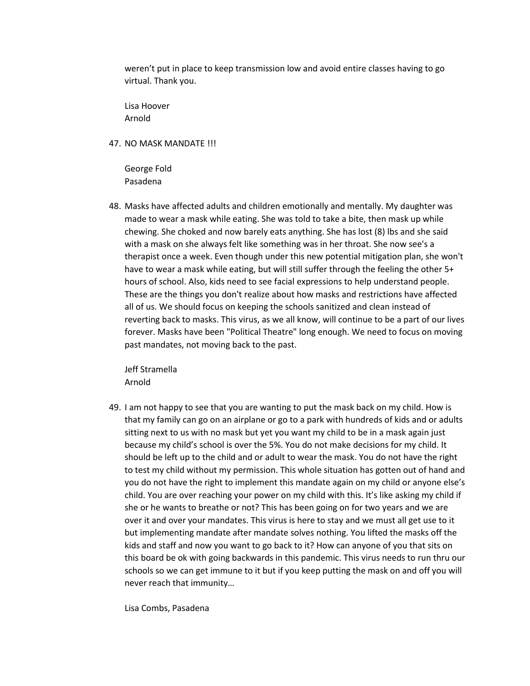weren't put in place to keep transmission low and avoid entire classes having to go virtual. Thank you.

Lisa Hoover Arnold

#### 47. NO MASK MANDATE !!!

George Fold Pasadena

48. Masks have affected adults and children emotionally and mentally. My daughter was made to wear a mask while eating. She was told to take a bite, then mask up while chewing. She choked and now barely eats anything. She has lost (8) lbs and she said with a mask on she always felt like something was in her throat. She now see's a therapist once a week. Even though under this new potential mitigation plan, she won't have to wear a mask while eating, but will still suffer through the feeling the other 5+ hours of school. Also, kids need to see facial expressions to help understand people. These are the things you don't realize about how masks and restrictions have affected all of us. We should focus on keeping the schools sanitized and clean instead of reverting back to masks. This virus, as we all know, will continue to be a part of our lives forever. Masks have been "Political Theatre" long enough. We need to focus on moving past mandates, not moving back to the past.

Jeff Stramella Arnold

49. I am not happy to see that you are wanting to put the mask back on my child. How is that my family can go on an airplane or go to a park with hundreds of kids and or adults sitting next to us with no mask but yet you want my child to be in a mask again just because my child's school is over the 5%. You do not make decisions for my child. It should be left up to the child and or adult to wear the mask. You do not have the right to test my child without my permission. This whole situation has gotten out of hand and you do not have the right to implement this mandate again on my child or anyone else's child. You are over reaching your power on my child with this. It's like asking my child if she or he wants to breathe or not? This has been going on for two years and we are over it and over your mandates. This virus is here to stay and we must all get use to it but implementing mandate after mandate solves nothing. You lifted the masks off the kids and staff and now you want to go back to it? How can anyone of you that sits on this board be ok with going backwards in this pandemic. This virus needs to run thru our schools so we can get immune to it but if you keep putting the mask on and off you will never reach that immunity…

Lisa Combs, Pasadena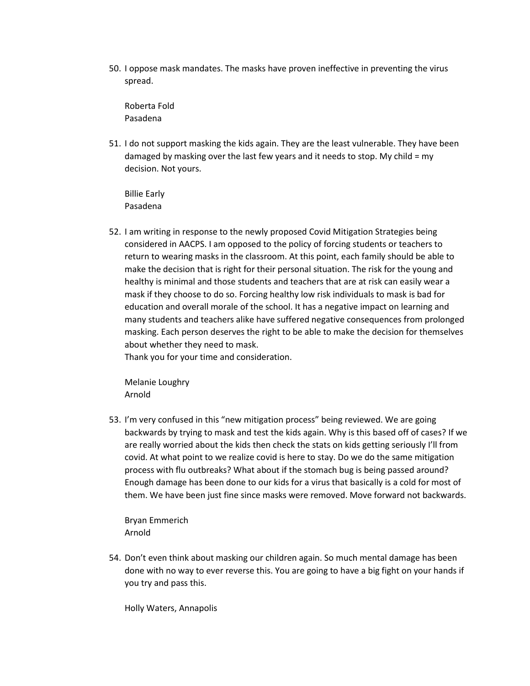50. I oppose mask mandates. The masks have proven ineffective in preventing the virus spread.

Roberta Fold Pasadena

51. I do not support masking the kids again. They are the least vulnerable. They have been damaged by masking over the last few years and it needs to stop. My child = my decision. Not yours.

Billie Early Pasadena

52. I am writing in response to the newly proposed Covid Mitigation Strategies being considered in AACPS. I am opposed to the policy of forcing students or teachers to return to wearing masks in the classroom. At this point, each family should be able to make the decision that is right for their personal situation. The risk for the young and healthy is minimal and those students and teachers that are at risk can easily wear a mask if they choose to do so. Forcing healthy low risk individuals to mask is bad for education and overall morale of the school. It has a negative impact on learning and many students and teachers alike have suffered negative consequences from prolonged masking. Each person deserves the right to be able to make the decision for themselves about whether they need to mask.

Thank you for your time and consideration.

Melanie Loughry Arnold

53. I'm very confused in this "new mitigation process" being reviewed. We are going backwards by trying to mask and test the kids again. Why is this based off of cases? If we are really worried about the kids then check the stats on kids getting seriously I'll from covid. At what point to we realize covid is here to stay. Do we do the same mitigation process with flu outbreaks? What about if the stomach bug is being passed around? Enough damage has been done to our kids for a virus that basically is a cold for most of them. We have been just fine since masks were removed. Move forward not backwards.

Bryan Emmerich Arnold

54. Don't even think about masking our children again. So much mental damage has been done with no way to ever reverse this. You are going to have a big fight on your hands if you try and pass this.

Holly Waters, Annapolis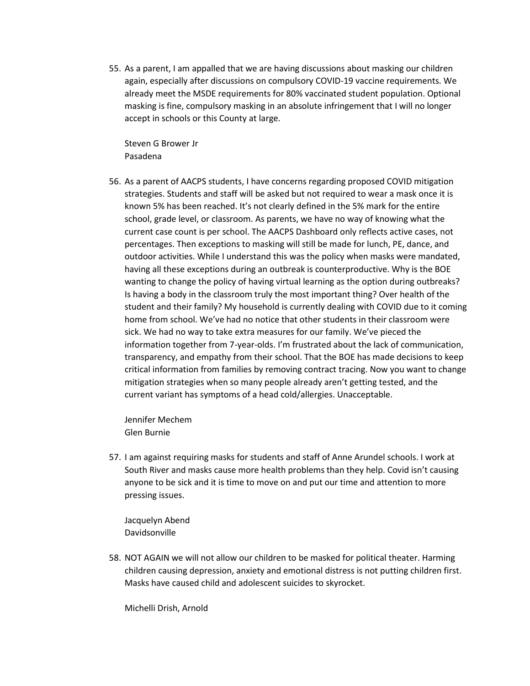55. As a parent, I am appalled that we are having discussions about masking our children again, especially after discussions on compulsory COVID-19 vaccine requirements. We already meet the MSDE requirements for 80% vaccinated student population. Optional masking is fine, compulsory masking in an absolute infringement that I will no longer accept in schools or this County at large.

Steven G Brower Jr Pasadena

56. As a parent of AACPS students, I have concerns regarding proposed COVID mitigation strategies. Students and staff will be asked but not required to wear a mask once it is known 5% has been reached. It's not clearly defined in the 5% mark for the entire school, grade level, or classroom. As parents, we have no way of knowing what the current case count is per school. The AACPS Dashboard only reflects active cases, not percentages. Then exceptions to masking will still be made for lunch, PE, dance, and outdoor activities. While I understand this was the policy when masks were mandated, having all these exceptions during an outbreak is counterproductive. Why is the BOE wanting to change the policy of having virtual learning as the option during outbreaks? Is having a body in the classroom truly the most important thing? Over health of the student and their family? My household is currently dealing with COVID due to it coming home from school. We've had no notice that other students in their classroom were sick. We had no way to take extra measures for our family. We've pieced the information together from 7-year-olds. I'm frustrated about the lack of communication, transparency, and empathy from their school. That the BOE has made decisions to keep critical information from families by removing contract tracing. Now you want to change mitigation strategies when so many people already aren't getting tested, and the current variant has symptoms of a head cold/allergies. Unacceptable.

Jennifer Mechem Glen Burnie

57. I am against requiring masks for students and staff of Anne Arundel schools. I work at South River and masks cause more health problems than they help. Covid isn't causing anyone to be sick and it is time to move on and put our time and attention to more pressing issues.

Jacquelyn Abend Davidsonville

58. NOT AGAIN we will not allow our children to be masked for political theater. Harming children causing depression, anxiety and emotional distress is not putting children first. Masks have caused child and adolescent suicides to skyrocket.

Michelli Drish, Arnold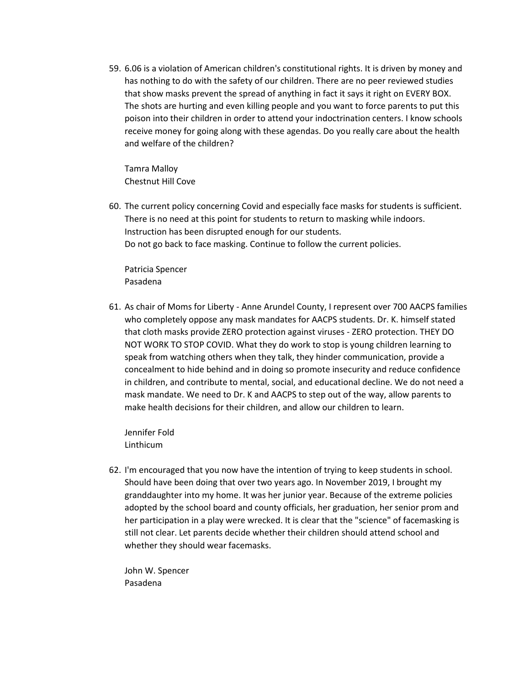59. 6.06 is a violation of American children's constitutional rights. It is driven by money and has nothing to do with the safety of our children. There are no peer reviewed studies that show masks prevent the spread of anything in fact it says it right on EVERY BOX. The shots are hurting and even killing people and you want to force parents to put this poison into their children in order to attend your indoctrination centers. I know schools receive money for going along with these agendas. Do you really care about the health and welfare of the children?

Tamra Malloy Chestnut Hill Cove

60. The current policy concerning Covid and especially face masks for students is sufficient. There is no need at this point for students to return to masking while indoors. Instruction has been disrupted enough for our students. Do not go back to face masking. Continue to follow the current policies.

Patricia Spencer Pasadena

61. As chair of Moms for Liberty - Anne Arundel County, I represent over 700 AACPS families who completely oppose any mask mandates for AACPS students. Dr. K. himself stated that cloth masks provide ZERO protection against viruses - ZERO protection. THEY DO NOT WORK TO STOP COVID. What they do work to stop is young children learning to speak from watching others when they talk, they hinder communication, provide a concealment to hide behind and in doing so promote insecurity and reduce confidence in children, and contribute to mental, social, and educational decline. We do not need a mask mandate. We need to Dr. K and AACPS to step out of the way, allow parents to make health decisions for their children, and allow our children to learn.

Jennifer Fold Linthicum

62. I'm encouraged that you now have the intention of trying to keep students in school. Should have been doing that over two years ago. In November 2019, I brought my granddaughter into my home. It was her junior year. Because of the extreme policies adopted by the school board and county officials, her graduation, her senior prom and her participation in a play were wrecked. It is clear that the "science" of facemasking is still not clear. Let parents decide whether their children should attend school and whether they should wear facemasks.

John W. Spencer Pasadena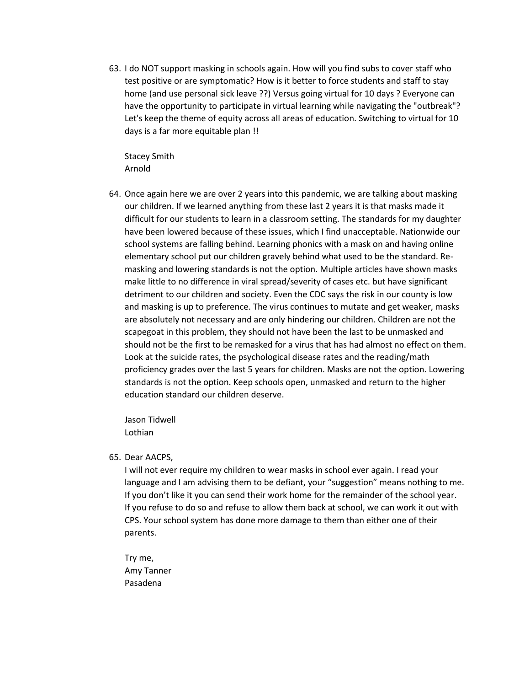63. I do NOT support masking in schools again. How will you find subs to cover staff who test positive or are symptomatic? How is it better to force students and staff to stay home (and use personal sick leave ??) Versus going virtual for 10 days ? Everyone can have the opportunity to participate in virtual learning while navigating the "outbreak"? Let's keep the theme of equity across all areas of education. Switching to virtual for 10 days is a far more equitable plan !!

Stacey Smith Arnold

64. Once again here we are over 2 years into this pandemic, we are talking about masking our children. If we learned anything from these last 2 years it is that masks made it difficult for our students to learn in a classroom setting. The standards for my daughter have been lowered because of these issues, which I find unacceptable. Nationwide our school systems are falling behind. Learning phonics with a mask on and having online elementary school put our children gravely behind what used to be the standard. Remasking and lowering standards is not the option. Multiple articles have shown masks make little to no difference in viral spread/severity of cases etc. but have significant detriment to our children and society. Even the CDC says the risk in our county is low and masking is up to preference. The virus continues to mutate and get weaker, masks are absolutely not necessary and are only hindering our children. Children are not the scapegoat in this problem, they should not have been the last to be unmasked and should not be the first to be remasked for a virus that has had almost no effect on them. Look at the suicide rates, the psychological disease rates and the reading/math proficiency grades over the last 5 years for children. Masks are not the option. Lowering standards is not the option. Keep schools open, unmasked and return to the higher education standard our children deserve.

Jason Tidwell Lothian

# 65. Dear AACPS,

I will not ever require my children to wear masks in school ever again. I read your language and I am advising them to be defiant, your "suggestion" means nothing to me. If you don't like it you can send their work home for the remainder of the school year. If you refuse to do so and refuse to allow them back at school, we can work it out with CPS. Your school system has done more damage to them than either one of their parents.

Try me, Amy Tanner Pasadena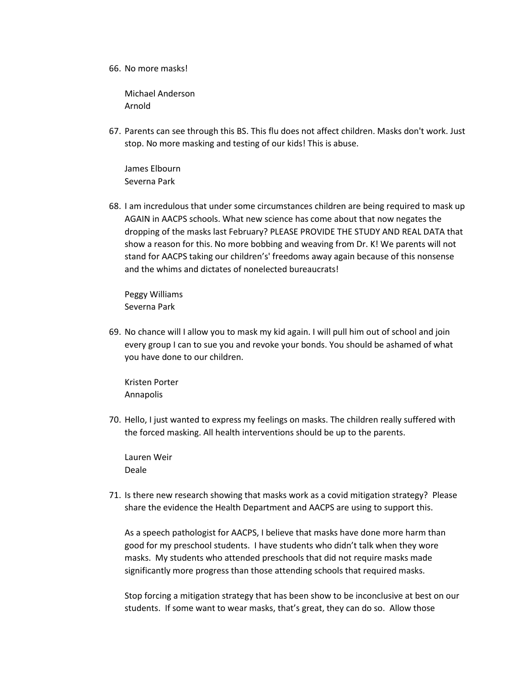66. No more masks!

Michael Anderson Arnold

67. Parents can see through this BS. This flu does not affect children. Masks don't work. Just stop. No more masking and testing of our kids! This is abuse.

James Elbourn Severna Park

68. I am incredulous that under some circumstances children are being required to mask up AGAIN in AACPS schools. What new science has come about that now negates the dropping of the masks last February? PLEASE PROVIDE THE STUDY AND REAL DATA that show a reason for this. No more bobbing and weaving from Dr. K! We parents will not stand for AACPS taking our children's' freedoms away again because of this nonsense and the whims and dictates of nonelected bureaucrats!

Peggy Williams Severna Park

69. No chance will I allow you to mask my kid again. I will pull him out of school and join every group I can to sue you and revoke your bonds. You should be ashamed of what you have done to our children.

Kristen Porter Annapolis

70. Hello, I just wanted to express my feelings on masks. The children really suffered with the forced masking. All health interventions should be up to the parents.

Lauren Weir Deale

71. Is there new research showing that masks work as a covid mitigation strategy? Please share the evidence the Health Department and AACPS are using to support this.

As a speech pathologist for AACPS, I believe that masks have done more harm than good for my preschool students. I have students who didn't talk when they wore masks. My students who attended preschools that did not require masks made significantly more progress than those attending schools that required masks.

Stop forcing a mitigation strategy that has been show to be inconclusive at best on our students. If some want to wear masks, that's great, they can do so. Allow those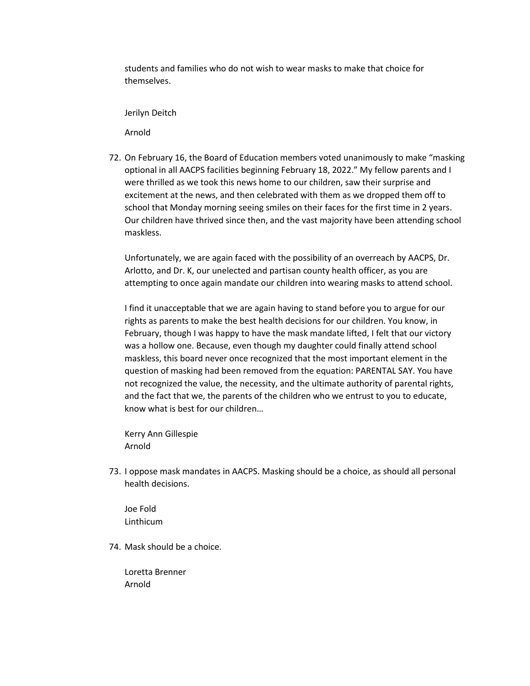students and families who do not wish to wear masks to make that choice for themselves.

Jerilyn Deitch

Arnold

72. On February 16, the Board of Education members voted unanimously to make "masking optional in all AACPS facilities beginning February 18, 2022." My fellow parents and I were thrilled as we took this news home to our children, saw their surprise and excitement at the news, and then celebrated with them as we dropped them off to school that Monday morning seeing smiles on their faces for the first time in 2 years. Our children have thrived since then, and the vast majority have been attending school maskless.

Unfortunately, we are again faced with the possibility of an overreach by AACPS, Dr. Arlotto, and Dr. K, our unelected and partisan county health officer, as you are attempting to once again mandate our children into wearing masks to attend school.

I find it unacceptable that we are again having to stand before you to argue for our rights as parents to make the best health decisions for our children. You know, in February, though I was happy to have the mask mandate lifted, I felt that our victory was a hollow one. Because, even though my daughter could finally attend school maskless, this board never once recognized that the most important element in the question of masking had been removed from the equation: PARENTAL SAY. You have not recognized the value, the necessity, and the ultimate authority of parental rights, and the fact that we, the parents of the children who we entrust to you to educate, know what is best for our children…

Kerry Ann Gillespie Arnold

73. I oppose mask mandates in AACPS. Masking should be a choice, as should all personal health decisions.

Joe Fold Linthicum

74. Mask should be a choice.

Loretta Brenner Arnold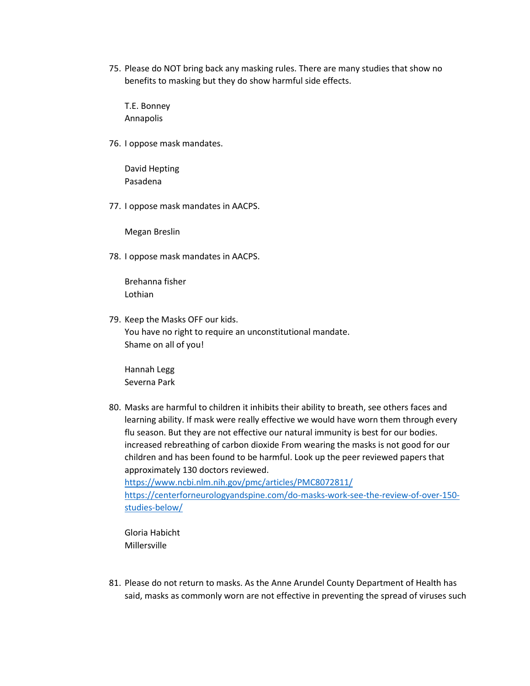75. Please do NOT bring back any masking rules. There are many studies that show no benefits to masking but they do show harmful side effects.

T.E. Bonney Annapolis

76. I oppose mask mandates.

David Hepting Pasadena

77. I oppose mask mandates in AACPS.

Megan Breslin

78. I oppose mask mandates in AACPS.

Brehanna fisher Lothian

79. Keep the Masks OFF our kids. You have no right to require an unconstitutional mandate. Shame on all of you!

Hannah Legg Severna Park

80. Masks are harmful to children it inhibits their ability to breath, see others faces and learning ability. If mask were really effective we would have worn them through every flu season. But they are not effective our natural immunity is best for our bodies. increased rebreathing of carbon dioxide From wearing the masks is not good for our children and has been found to be harmful. Look up the peer reviewed papers that approximately 130 doctors reviewed. <https://www.ncbi.nlm.nih.gov/pmc/articles/PMC8072811/>

[https://centerforneurologyandspine.com/do-masks-work-see-the-review-of-over-150](https://centerforneurologyandspine.com/do-masks-work-see-the-review-of-over-150-studies-below/) [studies-below/](https://centerforneurologyandspine.com/do-masks-work-see-the-review-of-over-150-studies-below/)

Gloria Habicht Millersville

81. Please do not return to masks. As the Anne Arundel County Department of Health has said, masks as commonly worn are not effective in preventing the spread of viruses such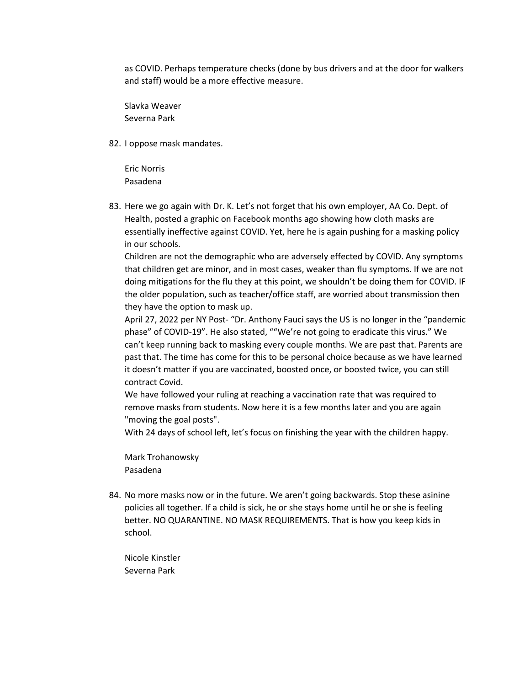as COVID. Perhaps temperature checks (done by bus drivers and at the door for walkers and staff) would be a more effective measure.

Slavka Weaver Severna Park

82. I oppose mask mandates.

Eric Norris Pasadena

83. Here we go again with Dr. K. Let's not forget that his own employer, AA Co. Dept. of Health, posted a graphic on Facebook months ago showing how cloth masks are essentially ineffective against COVID. Yet, here he is again pushing for a masking policy in our schools.

Children are not the demographic who are adversely effected by COVID. Any symptoms that children get are minor, and in most cases, weaker than flu symptoms. If we are not doing mitigations for the flu they at this point, we shouldn't be doing them for COVID. IF the older population, such as teacher/office staff, are worried about transmission then they have the option to mask up.

April 27, 2022 per NY Post- "Dr. Anthony Fauci says the US is no longer in the "pandemic phase" of COVID-19". He also stated, ""We're not going to eradicate this virus." We can't keep running back to masking every couple months. We are past that. Parents are past that. The time has come for this to be personal choice because as we have learned it doesn't matter if you are vaccinated, boosted once, or boosted twice, you can still contract Covid.

We have followed your ruling at reaching a vaccination rate that was required to remove masks from students. Now here it is a few months later and you are again "moving the goal posts".

With 24 days of school left, let's focus on finishing the year with the children happy.

Mark Trohanowsky Pasadena

84. No more masks now or in the future. We aren't going backwards. Stop these asinine policies all together. If a child is sick, he or she stays home until he or she is feeling better. NO QUARANTINE. NO MASK REQUIREMENTS. That is how you keep kids in school.

Nicole Kinstler Severna Park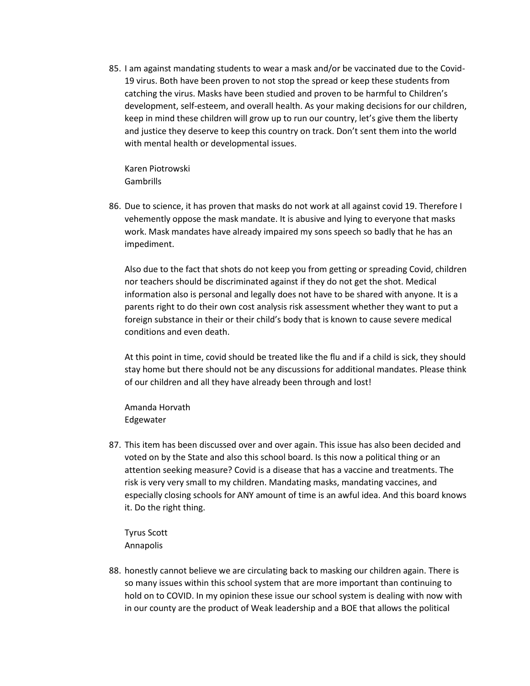85. I am against mandating students to wear a mask and/or be vaccinated due to the Covid-19 virus. Both have been proven to not stop the spread or keep these students from catching the virus. Masks have been studied and proven to be harmful to Children's development, self-esteem, and overall health. As your making decisions for our children, keep in mind these children will grow up to run our country, let's give them the liberty and justice they deserve to keep this country on track. Don't sent them into the world with mental health or developmental issues.

Karen Piotrowski Gambrills

86. Due to science, it has proven that masks do not work at all against covid 19. Therefore I vehemently oppose the mask mandate. It is abusive and lying to everyone that masks work. Mask mandates have already impaired my sons speech so badly that he has an impediment.

Also due to the fact that shots do not keep you from getting or spreading Covid, children nor teachers should be discriminated against if they do not get the shot. Medical information also is personal and legally does not have to be shared with anyone. It is a parents right to do their own cost analysis risk assessment whether they want to put a foreign substance in their or their child's body that is known to cause severe medical conditions and even death.

At this point in time, covid should be treated like the flu and if a child is sick, they should stay home but there should not be any discussions for additional mandates. Please think of our children and all they have already been through and lost!

Amanda Horvath Edgewater

87. This item has been discussed over and over again. This issue has also been decided and voted on by the State and also this school board. Is this now a political thing or an attention seeking measure? Covid is a disease that has a vaccine and treatments. The risk is very very small to my children. Mandating masks, mandating vaccines, and especially closing schools for ANY amount of time is an awful idea. And this board knows it. Do the right thing.

Tyrus Scott Annapolis

88. honestly cannot believe we are circulating back to masking our children again. There is so many issues within this school system that are more important than continuing to hold on to COVID. In my opinion these issue our school system is dealing with now with in our county are the product of Weak leadership and a BOE that allows the political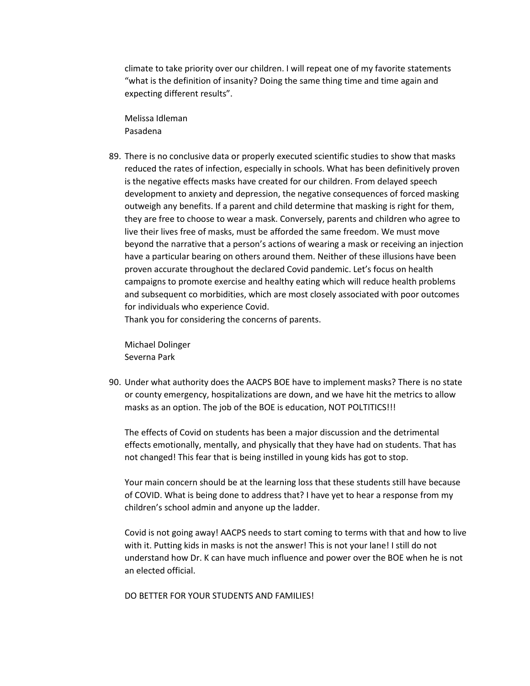climate to take priority over our children. I will repeat one of my favorite statements "what is the definition of insanity? Doing the same thing time and time again and expecting different results".

Melissa Idleman Pasadena

89. There is no conclusive data or properly executed scientific studies to show that masks reduced the rates of infection, especially in schools. What has been definitively proven is the negative effects masks have created for our children. From delayed speech development to anxiety and depression, the negative consequences of forced masking outweigh any benefits. If a parent and child determine that masking is right for them, they are free to choose to wear a mask. Conversely, parents and children who agree to live their lives free of masks, must be afforded the same freedom. We must move beyond the narrative that a person's actions of wearing a mask or receiving an injection have a particular bearing on others around them. Neither of these illusions have been proven accurate throughout the declared Covid pandemic. Let's focus on health campaigns to promote exercise and healthy eating which will reduce health problems and subsequent co morbidities, which are most closely associated with poor outcomes for individuals who experience Covid.

Thank you for considering the concerns of parents.

Michael Dolinger Severna Park

90. Under what authority does the AACPS BOE have to implement masks? There is no state or county emergency, hospitalizations are down, and we have hit the metrics to allow masks as an option. The job of the BOE is education, NOT POLTITICS!!!

The effects of Covid on students has been a major discussion and the detrimental effects emotionally, mentally, and physically that they have had on students. That has not changed! This fear that is being instilled in young kids has got to stop.

Your main concern should be at the learning loss that these students still have because of COVID. What is being done to address that? I have yet to hear a response from my children's school admin and anyone up the ladder.

Covid is not going away! AACPS needs to start coming to terms with that and how to live with it. Putting kids in masks is not the answer! This is not your lane! I still do not understand how Dr. K can have much influence and power over the BOE when he is not an elected official.

DO BETTER FOR YOUR STUDENTS AND FAMILIES!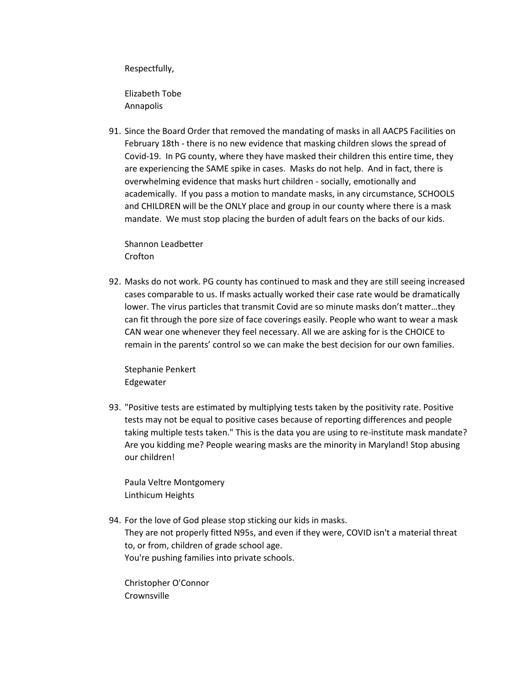Respectfully,

Elizabeth Tobe Annapolis

91. Since the Board Order that removed the mandating of masks in all AACPS Facilities on February 18th - there is no new evidence that masking children slows the spread of Covid-19. In PG county, where they have masked their children this entire time, they are experiencing the SAME spike in cases. Masks do not help. And in fact, there is overwhelming evidence that masks hurt children - socially, emotionally and academically. If you pass a motion to mandate masks, in any circumstance, SCHOOLS and CHILDREN will be the ONLY place and group in our county where there is a mask mandate. We must stop placing the burden of adult fears on the backs of our kids.

Shannon Leadbetter Crofton

92. Masks do not work. PG county has continued to mask and they are still seeing increased cases comparable to us. If masks actually worked their case rate would be dramatically lower. The virus particles that transmit Covid are so minute masks don't matter…they can fit through the pore size of face coverings easily. People who want to wear a mask CAN wear one whenever they feel necessary. All we are asking for is the CHOICE to remain in the parents' control so we can make the best decision for our own families.

Stephanie Penkert Edgewater

93. "Positive tests are estimated by multiplying tests taken by the positivity rate. Positive tests may not be equal to positive cases because of reporting differences and people taking multiple tests taken." This is the data you are using to re-institute mask mandate? Are you kidding me? People wearing masks are the minority in Maryland! Stop abusing our children!

Paula Veltre Montgomery Linthicum Heights

94. For the love of God please stop sticking our kids in masks. They are not properly fitted N95s, and even if they were, COVID isn't a material threat to, or from, children of grade school age. You're pushing families into private schools.

Christopher O'Connor **Crownsville**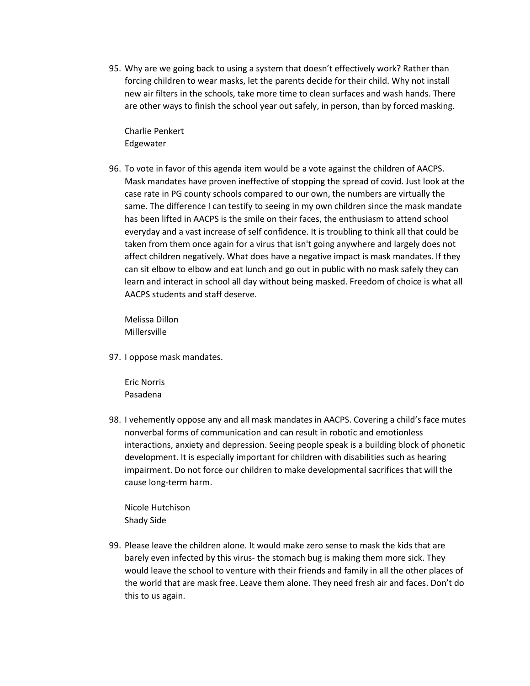95. Why are we going back to using a system that doesn't effectively work? Rather than forcing children to wear masks, let the parents decide for their child. Why not install new air filters in the schools, take more time to clean surfaces and wash hands. There are other ways to finish the school year out safely, in person, than by forced masking.

Charlie Penkert Edgewater

96. To vote in favor of this agenda item would be a vote against the children of AACPS. Mask mandates have proven ineffective of stopping the spread of covid. Just look at the case rate in PG county schools compared to our own, the numbers are virtually the same. The difference I can testify to seeing in my own children since the mask mandate has been lifted in AACPS is the smile on their faces, the enthusiasm to attend school everyday and a vast increase of self confidence. It is troubling to think all that could be taken from them once again for a virus that isn't going anywhere and largely does not affect children negatively. What does have a negative impact is mask mandates. If they can sit elbow to elbow and eat lunch and go out in public with no mask safely they can learn and interact in school all day without being masked. Freedom of choice is what all AACPS students and staff deserve.

Melissa Dillon Millersville

97. I oppose mask mandates.

Eric Norris Pasadena

98. I vehemently oppose any and all mask mandates in AACPS. Covering a child's face mutes nonverbal forms of communication and can result in robotic and emotionless interactions, anxiety and depression. Seeing people speak is a building block of phonetic development. It is especially important for children with disabilities such as hearing impairment. Do not force our children to make developmental sacrifices that will the cause long-term harm.

Nicole Hutchison Shady Side

99. Please leave the children alone. It would make zero sense to mask the kids that are barely even infected by this virus- the stomach bug is making them more sick. They would leave the school to venture with their friends and family in all the other places of the world that are mask free. Leave them alone. They need fresh air and faces. Don't do this to us again.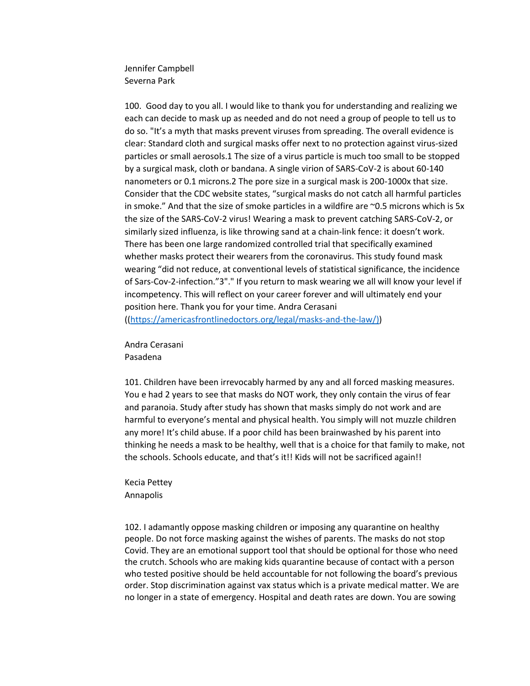Jennifer Campbell Severna Park

100. Good day to you all. I would like to thank you for understanding and realizing we each can decide to mask up as needed and do not need a group of people to tell us to do so. "It's a myth that masks prevent viruses from spreading. The overall evidence is clear: Standard cloth and surgical masks offer next to no protection against virus-sized particles or small aerosols.1 The size of a virus particle is much too small to be stopped by a surgical mask, cloth or bandana. A single virion of SARS-CoV-2 is about 60-140 nanometers or 0.1 microns.2 The pore size in a surgical mask is 200-1000x that size. Consider that the CDC website states, "surgical masks do not catch all harmful particles in smoke." And that the size of smoke particles in a wildfire are  $\sim$ 0.5 microns which is 5x the size of the SARS-CoV-2 virus! Wearing a mask to prevent catching SARS-CoV-2, or similarly sized influenza, is like throwing sand at a chain-link fence: it doesn't work. There has been one large randomized controlled trial that specifically examined whether masks protect their wearers from the coronavirus. This study found mask wearing "did not reduce, at conventional levels of statistical significance, the incidence of Sars-Cov-2-infection."3"." If you return to mask wearing we all will know your level if incompetency. This will reflect on your career forever and will ultimately end your position here. Thank you for your time. Andra Cerasani ([\(https://americasfrontlinedoctors.org/legal/masks-and-the-law/\)\)](https://americasfrontlinedoctors.org/legal/masks-and-the-law/))

Andra Cerasani Pasadena

101. Children have been irrevocably harmed by any and all forced masking measures. You e had 2 years to see that masks do NOT work, they only contain the virus of fear and paranoia. Study after study has shown that masks simply do not work and are harmful to everyone's mental and physical health. You simply will not muzzle children any more! It's child abuse. If a poor child has been brainwashed by his parent into thinking he needs a mask to be healthy, well that is a choice for that family to make, not the schools. Schools educate, and that's it!! Kids will not be sacrificed again!!

Kecia Pettey Annapolis

102. I adamantly oppose masking children or imposing any quarantine on healthy people. Do not force masking against the wishes of parents. The masks do not stop Covid. They are an emotional support tool that should be optional for those who need the crutch. Schools who are making kids quarantine because of contact with a person who tested positive should be held accountable for not following the board's previous order. Stop discrimination against vax status which is a private medical matter. We are no longer in a state of emergency. Hospital and death rates are down. You are sowing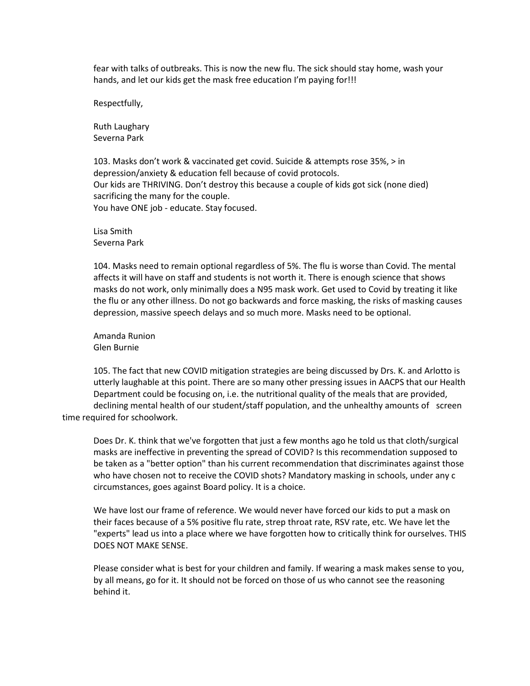fear with talks of outbreaks. This is now the new flu. The sick should stay home, wash your hands, and let our kids get the mask free education I'm paying for!!!

Respectfully,

Ruth Laughary Severna Park

103. Masks don't work & vaccinated get covid. Suicide & attempts rose 35%, > in depression/anxiety & education fell because of covid protocols. Our kids are THRIVING. Don't destroy this because a couple of kids got sick (none died) sacrificing the many for the couple. You have ONE job - educate. Stay focused.

Lisa Smith Severna Park

104. Masks need to remain optional regardless of 5%. The flu is worse than Covid. The mental affects it will have on staff and students is not worth it. There is enough science that shows masks do not work, only minimally does a N95 mask work. Get used to Covid by treating it like the flu or any other illness. Do not go backwards and force masking, the risks of masking causes depression, massive speech delays and so much more. Masks need to be optional.

Amanda Runion Glen Burnie

105. The fact that new COVID mitigation strategies are being discussed by Drs. K. and Arlotto is utterly laughable at this point. There are so many other pressing issues in AACPS that our Health Department could be focusing on, i.e. the nutritional quality of the meals that are provided, declining mental health of our student/staff population, and the unhealthy amounts of screen time required for schoolwork.

Does Dr. K. think that we've forgotten that just a few months ago he told us that cloth/surgical masks are ineffective in preventing the spread of COVID? Is this recommendation supposed to be taken as a "better option" than his current recommendation that discriminates against those who have chosen not to receive the COVID shots? Mandatory masking in schools, under any c circumstances, goes against Board policy. It is a choice.

We have lost our frame of reference. We would never have forced our kids to put a mask on their faces because of a 5% positive flu rate, strep throat rate, RSV rate, etc. We have let the "experts" lead us into a place where we have forgotten how to critically think for ourselves. THIS DOES NOT MAKE SENSE.

Please consider what is best for your children and family. If wearing a mask makes sense to you, by all means, go for it. It should not be forced on those of us who cannot see the reasoning behind it.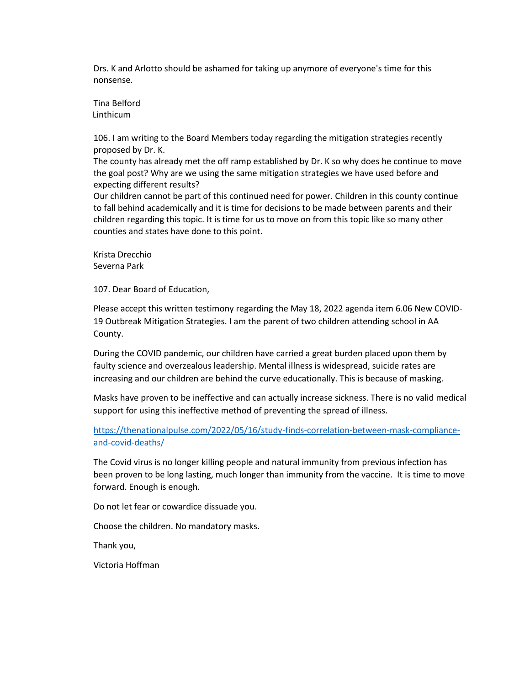Drs. K and Arlotto should be ashamed for taking up anymore of everyone's time for this nonsense.

Tina Belford Linthicum

106. I am writing to the Board Members today regarding the mitigation strategies recently proposed by Dr. K.

The county has already met the off ramp established by Dr. K so why does he continue to move the goal post? Why are we using the same mitigation strategies we have used before and expecting different results?

Our children cannot be part of this continued need for power. Children in this county continue to fall behind academically and it is time for decisions to be made between parents and their children regarding this topic. It is time for us to move on from this topic like so many other counties and states have done to this point.

Krista Drecchio Severna Park

107. Dear Board of Education,

Please accept this written testimony regarding the May 18, 2022 agenda item 6.06 New COVID-19 Outbreak Mitigation Strategies. I am the parent of two children attending school in AA County.

During the COVID pandemic, our children have carried a great burden placed upon them by faulty science and overzealous leadership. Mental illness is widespread, suicide rates are increasing and our children are behind the curve educationally. This is because of masking.

Masks have proven to be ineffective and can actually increase sickness. There is no valid medical support for using this ineffective method of preventing the spread of illness.

[https://thenationalpulse.com/2022/05/16/study-finds-correlation-between-mask-compliance](https://thenationalpulse.com/2022/05/16/study-finds-correlation-between-mask-compliance-%09and-covid-deaths/)[and-covid-deaths/](https://thenationalpulse.com/2022/05/16/study-finds-correlation-between-mask-compliance-%09and-covid-deaths/) 

The Covid virus is no longer killing people and natural immunity from previous infection has been proven to be long lasting, much longer than immunity from the vaccine. It is time to move forward. Enough is enough.

Do not let fear or cowardice dissuade you.

Choose the children. No mandatory masks.

Thank you,

Victoria Hoffman